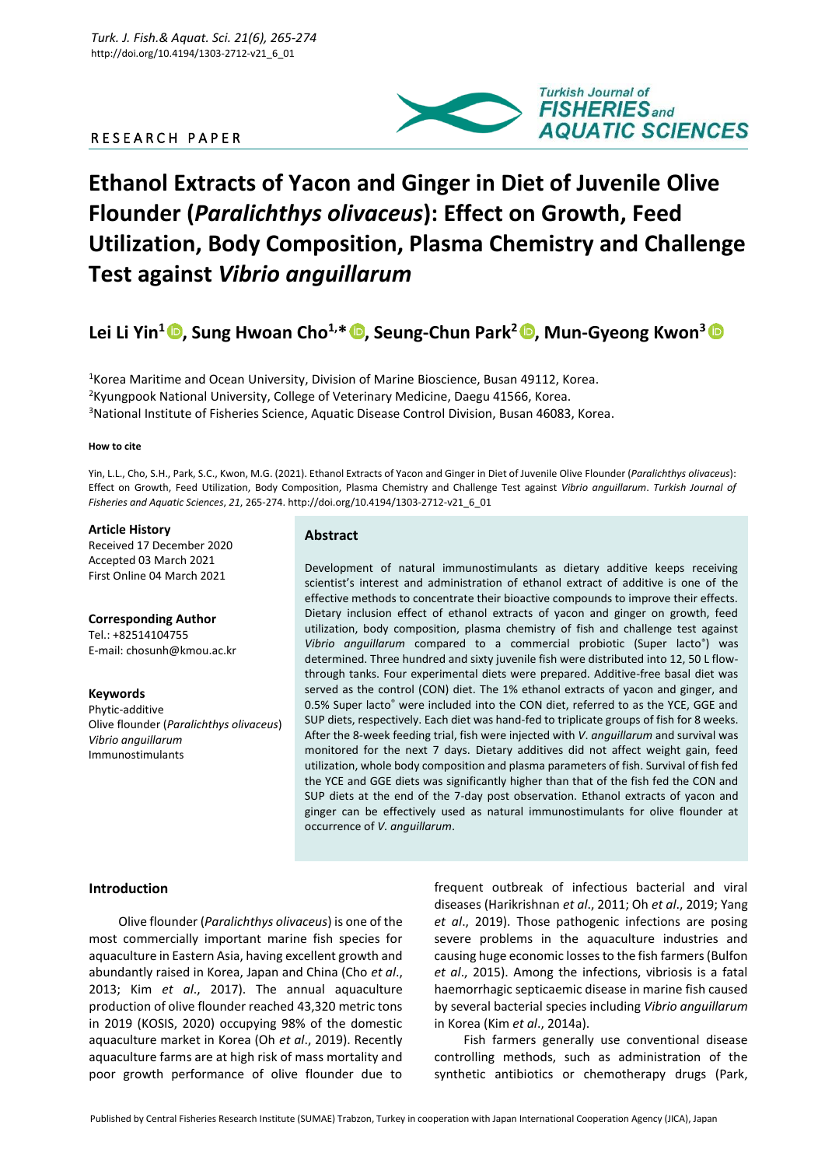# R E S E A R C H P A P E R



# **Ethanol Extracts of Yacon and Ginger in Diet of Juvenile Olive Flounder (***Paralichthys olivaceus***): Effect on Growth, Feed Utilization, Body Composition, Plasma Chemistry and Challenge Test against** *Vibrio anguillarum*

# **Lei Li Yin<sup>1</sup> [,](https://orcid.org/0000-0003-0667-7621) Sung Hwoan Cho1,\* , Seung-Chun Park<sup>2</sup> [,](https://orcid.org/0000-0001-8539-1087) Mun-Gyeong Kwon<sup>3</sup>**

<sup>1</sup>Korea Maritime and Ocean University, Division of Marine Bioscience, Busan 49112, Korea. <sup>2</sup>Kyungpook National University, College of Veterinary Medicine, Daegu 41566, Korea. <sup>3</sup>National Institute of Fisheries Science, Aquatic Disease Control Division, Busan 46083, Korea.

#### **How to cite**

Yin, L.L., Cho, S.H., Park, S.C., Kwon, M.G. (2021). Ethanol Extracts of Yacon and Ginger in Diet of Juvenile Olive Flounder (*Paralichthys olivaceus*): Effect on Growth, Feed Utilization, Body Composition, Plasma Chemistry and Challenge Test against *Vibrio anguillarum*. *Turkish Journal of Fisheries and Aquatic Sciences*, *21*, 265-274. http://doi.org/10.4194/1303-2712-v21\_6\_01

#### **Article History**

Received 17 December 2020 Accepted 03 March 2021 First Online 04 March 2021

#### **Corresponding Author**

Tel.: +82514104755 E-mail: chosunh@kmou.ac.kr

**Keywords** Phytic-additive Olive flounder (*Paralichthys olivaceus*) *Vibrio anguillarum* Immunostimulants

# **Abstract**

Development of natural immunostimulants as dietary additive keeps receiving scientist's interest and administration of ethanol extract of additive is one of the effective methods to concentrate their bioactive compounds to improve their effects. Dietary inclusion effect of ethanol extracts of yacon and ginger on growth, feed utilization, body composition, plasma chemistry of fish and challenge test against *Vibrio anguillarum* compared to a commercial probiotic (Super lacto® ) was determined. Three hundred and sixty juvenile fish were distributed into 12, 50 L flowthrough tanks. Four experimental diets were prepared. Additive-free basal diet was served as the control (CON) diet. The 1% ethanol extracts of yacon and ginger, and 0.5% Super lacto® were included into the CON diet, referred to as the YCE, GGE and SUP diets, respectively. Each diet was hand-fed to triplicate groups of fish for 8 weeks. After the 8-week feeding trial, fish were injected with *V*. *anguillarum* and survival was monitored for the next 7 days. Dietary additives did not affect weight gain, feed utilization, whole body composition and plasma parameters of fish. Survival of fish fed the YCE and GGE diets was significantly higher than that of the fish fed the CON and SUP diets at the end of the 7-day post observation. Ethanol extracts of yacon and ginger can be effectively used as natural immunostimulants for olive flounder at occurrence of *V. anguillarum*.

## **Introduction**

Olive flounder (*Paralichthys olivaceus*) is one of the most commercially important marine fish species for aquaculture in Eastern Asia, having excellent growth and abundantly raised in Korea, Japan and China (Cho *et al*., 2013; Kim *et al*., 2017). The annual aquaculture production of olive flounder reached 43,320 metric tons in 2019 (KOSIS, 2020) occupying 98% of the domestic aquaculture market in Korea (Oh *et al*., 2019). Recently aquaculture farms are at high risk of mass mortality and poor growth performance of olive flounder due to

frequent outbreak of infectious bacterial and viral diseases (Harikrishnan *et al*., 2011; Oh *et al*., 2019; Yang *et al*., 2019). Those pathogenic infections are posing severe problems in the aquaculture industries and causing huge economic losses to the fish farmers (Bulfon *et al*., 2015). Among the infections, vibriosis is a fatal haemorrhagic septicaemic disease in marine fish caused by several bacterial species including *Vibrio anguillarum* in Korea (Kim *et al*., 2014a).

Fish farmers generally use conventional disease controlling methods, such as administration of the synthetic antibiotics or chemotherapy drugs (Park,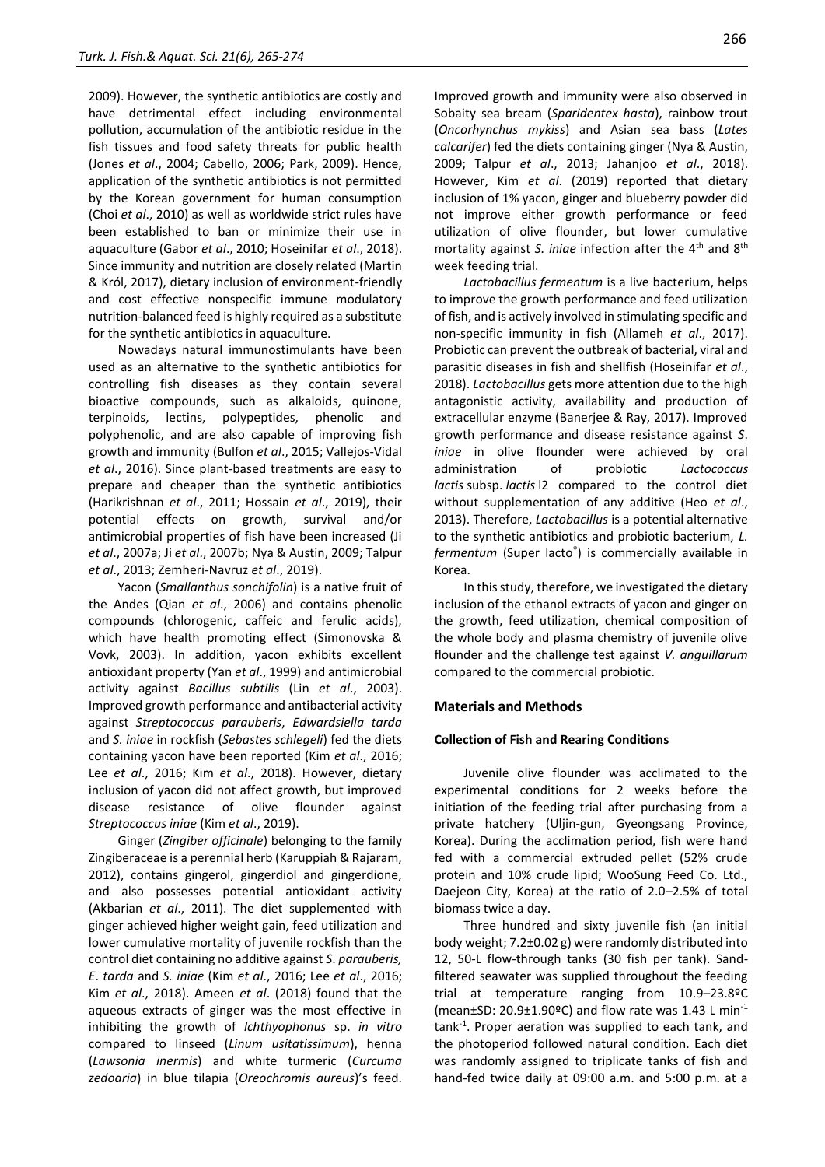2009). However, the synthetic antibiotics are costly and have detrimental effect including environmental pollution, accumulation of the antibiotic residue in the fish tissues and food safety threats for public health (Jones *et al*., 2004; Cabello, 2006; Park, 2009). Hence, application of the synthetic antibiotics is not permitted by the Korean government for human consumption (Choi *et al*., 2010) as well as worldwide strict rules have been established to ban or minimize their use in aquaculture (Gabor *et al*., 2010; Hoseinifar *et al*., 2018). Since immunity and nutrition are closely related (Martin & Król, 2017), dietary inclusion of environment-friendly and cost effective nonspecific immune modulatory nutrition-balanced feed is highly required as a substitute for the synthetic antibiotics in aquaculture.

Nowadays natural immunostimulants have been used as an alternative to the synthetic antibiotics for controlling fish diseases as they contain several bioactive compounds, such as alkaloids, quinone, terpinoids, lectins, polypeptides, phenolic and polyphenolic, and are also capable of improving fish growth and immunity (Bulfon *et al*., 2015; Vallejos-Vidal *et al*., 2016). Since plant-based treatments are easy to prepare and cheaper than the synthetic antibiotics (Harikrishnan *et al*., 2011; Hossain *et al*., 2019), their potential effects on growth, survival and/or antimicrobial properties of fish have been increased (Ji *et al*., 2007a; Ji *et al*., 2007b; Nya & Austin, 2009; Talpur *et al*., 2013; Zemheri-Navruz *et al*., 2019).

Yacon (*Smallanthus sonchifolin*) is a native fruit of the Andes (Qian *et al*., 2006) and contains phenolic compounds (chlorogenic, caffeic and ferulic acids), which have health promoting effect (Simonovska & Vovk, 2003). In addition, yacon exhibits excellent antioxidant property (Yan *et al*., 1999) and antimicrobial activity against *Bacillus subtilis* (Lin *et al*., 2003). Improved growth performance and antibacterial activity against *Streptococcus parauberis*, *Edwardsiella tarda*  and *S. iniae* in rockfish (*Sebastes schlegeli*) fed the diets containing yacon have been reported (Kim *et al*., 2016; Lee *et al*., 2016; Kim *et al*., 2018). However, dietary inclusion of yacon did not affect growth, but improved disease resistance of olive flounder against *Streptococcus iniae* (Kim *et al*., 2019).

Ginger (*Zingiber officinale*) belonging to the family Zingiberaceae is a perennial herb (Karuppiah & Rajaram, 2012), contains gingerol, gingerdiol and gingerdione, and also possesses potential antioxidant activity (Akbarian *et al*., 2011). The diet supplemented with ginger achieved higher weight gain, feed utilization and lower cumulative mortality of juvenile rockfish than the control diet containing no additive against *S*. *parauberis, E*. *tarda* and *S. iniae* (Kim *et al*., 2016; Lee *et al*., 2016; Kim *et al*., 2018). Ameen *et al*. (2018) found that the aqueous extracts of ginger was the most effective in inhibiting the growth of *Ichthyophonus* sp. *in vitro* compared to linseed (*Linum usitatissimum*), henna (*Lawsonia inermis*) and white turmeric (*Curcuma zedoaria*) in blue tilapia (*Oreochromis aureus*)'s feed. Improved growth and immunity were also observed in Sobaity sea bream (*Sparidentex hasta*), rainbow trout (*Oncorhynchus mykiss*) and Asian sea bass (*Lates calcarifer*) fed the diets containing ginger (Nya & Austin, 2009; Talpur *et al*., 2013; Jahanjoo *et al*., 2018). However, Kim *et al*. (2019) reported that dietary inclusion of 1% yacon, ginger and blueberry powder did not improve either growth performance or feed utilization of olive flounder, but lower cumulative mortality against *S. iniae* infection after the 4<sup>th</sup> and 8<sup>th</sup> week feeding trial.

*Lactobacillus fermentum* is a live bacterium, helps to improve the growth performance and feed utilization of fish, and is actively involved in stimulating specific and non-specific immunity in fish (Allameh *et al*., 2017). Probiotic can prevent the outbreak of bacterial, viral and parasitic diseases in fish and shellfish (Hoseinifar *et al*., 2018). *Lactobacillus* gets more attention due to the high antagonistic activity, availability and production of extracellular enzyme (Banerjee & Ray, 2017). Improved growth performance and disease resistance against *S*. *iniae* in olive flounder were achieved by oral administration of probiotic *Lactococcus lactis* subsp. *lactis* l2 compared to the control diet without supplementation of any additive (Heo *et al*., 2013). Therefore, *Lactobacillus* is a potential alternative to the synthetic antibiotics and probiotic bacterium, *L. fermentum* (Super lacto® ) is commercially available in Korea.

In this study, therefore, we investigated the dietary inclusion of the ethanol extracts of yacon and ginger on the growth, feed utilization, chemical composition of the whole body and plasma chemistry of juvenile olive flounder and the challenge test against *V. anguillarum*  compared to the commercial probiotic.

## **Materials and Methods**

#### **Collection of Fish and Rearing Conditions**

Juvenile olive flounder was acclimated to the experimental conditions for 2 weeks before the initiation of the feeding trial after purchasing from a private hatchery (Uljin-gun, Gyeongsang Province, Korea). During the acclimation period, fish were hand fed with a commercial extruded pellet (52% crude protein and 10% crude lipid; WooSung Feed Co. Ltd., Daejeon City, Korea) at the ratio of 2.0–2.5% of total biomass twice a day.

Three hundred and sixty juvenile fish (an initial body weight; 7.2±0.02 g) were randomly distributed into 12, 50-L flow-through tanks (30 fish per tank). Sandfiltered seawater was supplied throughout the feeding trial at temperature ranging from 10.9–23.8ºC (mean $\pm$ SD: 20.9 $\pm$ 1.90ºC) and flow rate was 1.43 L min<sup>-1</sup> tank-1 . Proper aeration was supplied to each tank, and the photoperiod followed natural condition. Each diet was randomly assigned to triplicate tanks of fish and hand-fed twice daily at 09:00 a.m. and 5:00 p.m. at a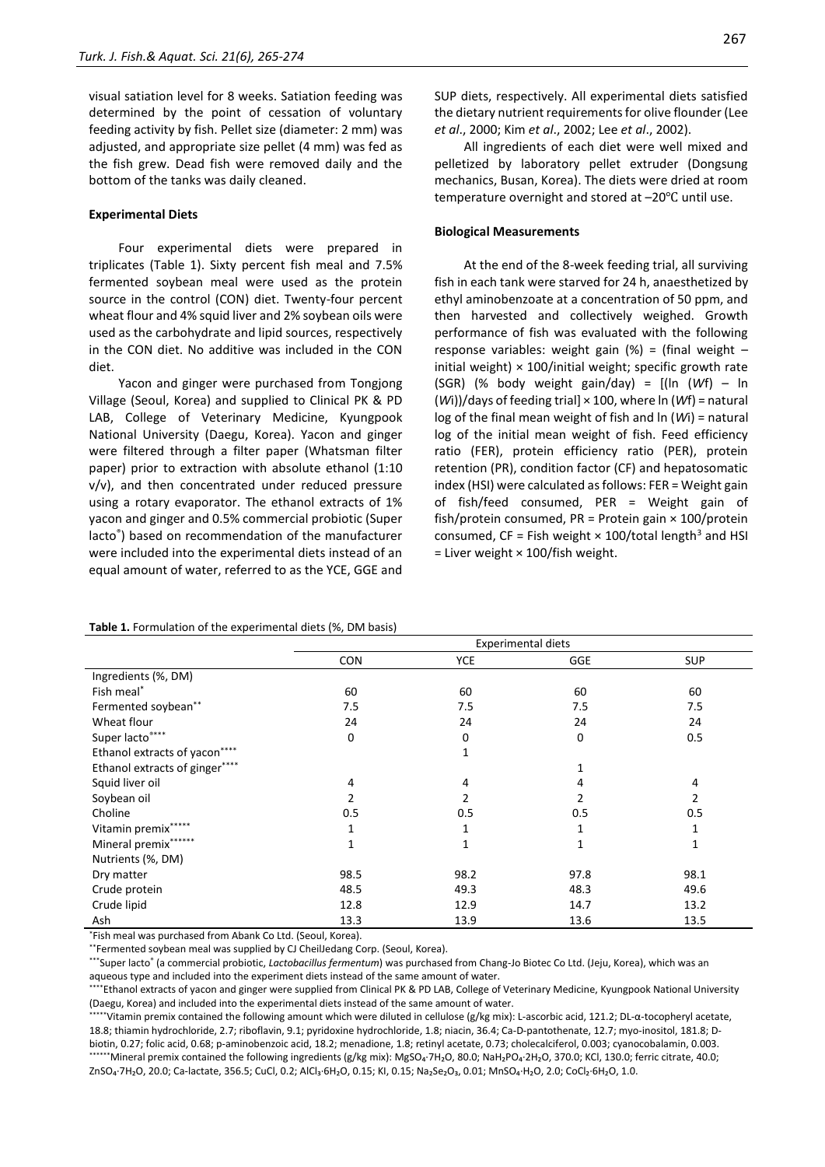visual satiation level for 8 weeks. Satiation feeding was determined by the point of cessation of voluntary feeding activity by fish. Pellet size (diameter: 2 mm) was adjusted, and appropriate size pellet (4 mm) was fed as the fish grew. Dead fish were removed daily and the bottom of the tanks was daily cleaned.

#### **Experimental Diets**

Four experimental diets were prepared in triplicates (Table 1). Sixty percent fish meal and 7.5% fermented soybean meal were used as the protein source in the control (CON) diet. Twenty-four percent wheat flour and 4% squid liver and 2% soybean oils were used as the carbohydrate and lipid sources, respectively in the CON diet. No additive was included in the CON diet.

Yacon and ginger were purchased from Tongjong Village (Seoul, Korea) and supplied to Clinical PK & PD LAB, College of Veterinary Medicine, Kyungpook National University (Daegu, Korea). Yacon and ginger were filtered through a filter paper (Whatsman filter paper) prior to extraction with absolute ethanol (1:10 v/v), and then concentrated under reduced pressure using a rotary evaporator. The ethanol extracts of 1% yacon and ginger and 0.5% commercial probiotic (Super lacto® ) based on recommendation of the manufacturer were included into the experimental diets instead of an equal amount of water, referred to as the YCE, GGE and

# 267

SUP diets, respectively. All experimental diets satisfied the dietary nutrient requirements for olive flounder (Lee *et al*., 2000; Kim *et al*., 2002; Lee *et al*., 2002).

All ingredients of each diet were well mixed and pelletized by laboratory pellet extruder (Dongsung mechanics, Busan, Korea). The diets were dried at room temperature overnight and stored at −20°C until use.

# **Biological Measurements**

At the end of the 8-week feeding trial, all surviving fish in each tank were starved for 24 h, anaesthetized by ethyl aminobenzoate at a concentration of 50 ppm, and then harvested and collectively weighed. Growth performance of fish was evaluated with the following response variables: weight gain  $(\%)$  = (final weight – initial weight)  $\times$  100/initial weight; specific growth rate (SGR) (% body weight gain/day) = [(ln (*W*f) – ln (*W*i))/days of feeding trial] × 100, where ln (*W*f) = natural log of the final mean weight of fish and ln (*W*i) = natural log of the initial mean weight of fish. Feed efficiency ratio (FER), protein efficiency ratio (PER), protein retention (PR), condition factor (CF) and hepatosomatic index (HSI) were calculated as follows: FER = Weight gain of fish/feed consumed, PER = Weight gain of fish/protein consumed,  $PR = Protein gain \times 100/protein$ consumed, CF = Fish weight  $\times$  100/total length<sup>3</sup> and HSI = Liver weight × 100/fish weight.

|                                | <b>Experimental diets</b> |             |      |                |
|--------------------------------|---------------------------|-------------|------|----------------|
|                                | <b>CON</b>                | <b>YCE</b>  | GGE  | <b>SUP</b>     |
| Ingredients (%, DM)            |                           |             |      |                |
| Fish meal*                     | 60                        | 60          | 60   | 60             |
| Fermented soybean**            | 7.5                       | 7.5         | 7.5  | 7.5            |
| Wheat flour                    | 24                        | 24          | 24   | 24             |
| Super lacto****                | 0                         | 0           | 0    | 0.5            |
| Ethanol extracts of yacon****  |                           | $\mathbf 1$ |      |                |
| Ethanol extracts of ginger**** |                           |             | 1    |                |
| Squid liver oil                | 4                         | 4           | 4    | 4              |
| Soybean oil                    | 2                         | 2           | 2    | $\overline{2}$ |
| Choline                        | 0.5                       | 0.5         | 0.5  | 0.5            |
| Vitamin premix*****            | 1                         | 1           |      | 1              |
| Mineral premix******           | 1                         | 1           | 1    | 1              |
| Nutrients (%, DM)              |                           |             |      |                |
| Dry matter                     | 98.5                      | 98.2        | 97.8 | 98.1           |
| Crude protein                  | 48.5                      | 49.3        | 48.3 | 49.6           |
| Crude lipid                    | 12.8                      | 12.9        | 14.7 | 13.2           |
| Ash                            | 13.3                      | 13.9        | 13.6 | 13.5           |

# **Table 1.** Formulation of the experimental diets (%, DM basis)

\*Fish meal was purchased from Abank Co Ltd. (Seoul, Korea).

\*\*Fermented soybean meal was supplied by CJ CheilJedang Corp. (Seoul, Korea).

\*\*\*Super lacto<sup>®</sup> (a commercial probiotic, *Lactobacillus fermentum*) was purchased from Chang-Jo Biotec Co Ltd. (Jeju, Korea), which was an aqueous type and included into the experiment diets instead of the same amount of water.

\*\*\*\*Ethanol extracts of yacon and ginger were supplied from Clinical PK & PD LAB, College of Veterinary Medicine, Kyungpook National University (Daegu, Korea) and included into the experimental diets instead of the same amount of water.

\*\*\*\*\*Vitamin premix contained the following amount which were diluted in cellulose (g/kg mix): L-ascorbic acid, 121.2; DL-α-tocopheryl acetate, 18.8; thiamin hydrochloride, 2.7; riboflavin, 9.1; pyridoxine hydrochloride, 1.8; niacin, 36.4; Ca-D-pantothenate, 12.7; myo-inositol, 181.8; Dbiotin, 0.27; folic acid, 0.68; p-aminobenzoic acid, 18.2; menadione, 1.8; retinyl acetate, 0.73; cholecalciferol, 0.003; cyanocobalamin, 0.003.

\*\*\*\*\*\*Mineral premix contained the following ingredients (g/kg mix): MgSO4·7H2O, 80.0; NaH2PO4·2H2O, 370.0; KCl, 130.0; ferric citrate, 40.0; ZnSO₄·7H₂O, 20.0; Ca-lactate, 356.5; CuCl, 0.2; AlCl₃·6H₂O, 0.15; KI, 0.15; Na₂Se₂O₃, 0.01; MnSO₄·H₂O, 2.0; CoCl₂·6H₂O, 1.0.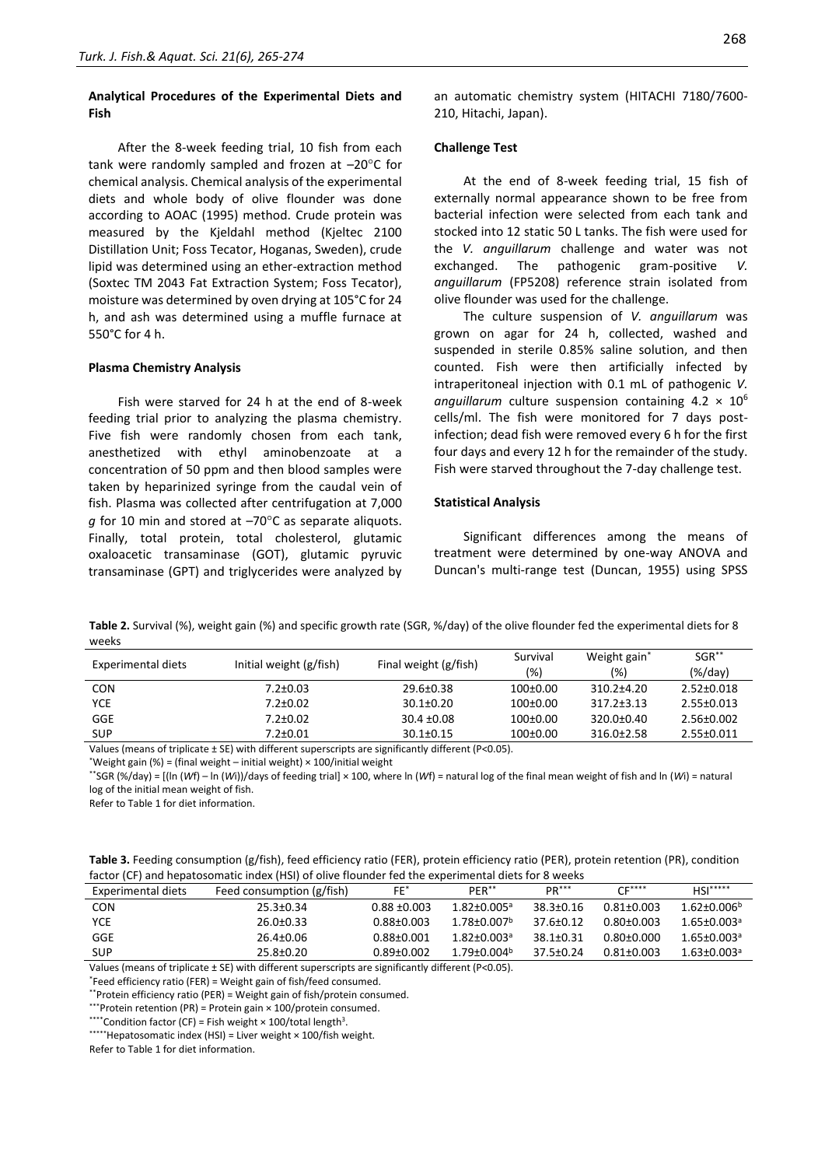# **Analytical Procedures of the Experimental Diets and Fish**

After the 8-week feeding trial, 10 fish from each tank were randomly sampled and frozen at  $-20^{\circ}$ C for chemical analysis. Chemical analysis of the experimental diets and whole body of olive flounder was done according to AOAC (1995) method. Crude protein was measured by the Kjeldahl method (Kjeltec 2100 Distillation Unit; Foss Tecator, Hoganas, Sweden), crude lipid was determined using an ether-extraction method (Soxtec TM 2043 Fat Extraction System; Foss Tecator), moisture was determined by oven drying at 105°C for 24 h, and ash was determined using a muffle furnace at 550°C for 4 h.

#### **Plasma Chemistry Analysis**

Fish were starved for 24 h at the end of 8-week feeding trial prior to analyzing the plasma chemistry. Five fish were randomly chosen from each tank, anesthetized with ethyl aminobenzoate at a concentration of 50 ppm and then blood samples were taken by heparinized syringe from the caudal vein of fish. Plasma was collected after centrifugation at 7,000 *g* for 10 min and stored at -70°C as separate aliquots. Finally, total protein, total cholesterol, glutamic oxaloacetic transaminase (GOT), glutamic pyruvic transaminase (GPT) and triglycerides were analyzed by

an automatic chemistry system (HITACHI 7180/7600- 210, Hitachi, Japan).

#### **Challenge Test**

At the end of 8-week feeding trial, 15 fish of externally normal appearance shown to be free from bacterial infection were selected from each tank and stocked into 12 static 50 L tanks. The fish were used for the *V. anguillarum* challenge and water was not exchanged. The pathogenic gram-positive *V. anguillarum* (FP5208) reference strain isolated from olive flounder was used for the challenge.

The culture suspension of *V. anguillarum* was grown on agar for 24 h, collected, washed and suspended in sterile 0.85% saline solution, and then counted. Fish were then artificially infected by intraperitoneal injection with 0.1 mL of pathogenic *V.*  anguillarum culture suspension containing  $4.2 \times 10^6$ cells/ml. The fish were monitored for 7 days postinfection; dead fish were removed every 6 h for the first four days and every 12 h for the remainder of the study. Fish were starved throughout the 7-day challenge test.

#### **Statistical Analysis**

Significant differences among the means of treatment were determined by one-way ANOVA and Duncan's multi-range test (Duncan, 1955) using SPSS

**Table 2.** Survival (%), weight gain (%) and specific growth rate (SGR, %/day) of the olive flounder fed the experimental diets for 8 weeks

| Experimental diets | Initial weight (g/fish) | Final weight (g/fish) | Survival<br>$(\%)$ | Weight gain*<br>(%) | $SGR^{\ast\ast}$<br>$(\%/day)$ |
|--------------------|-------------------------|-----------------------|--------------------|---------------------|--------------------------------|
| <b>CON</b>         | $7.2 \pm 0.03$          | $29.6 \pm 0.38$       | 100±0.00           | $310.2 + 4.20$      | $2.52 \pm 0.018$               |
| YCE                | $7.2 \pm 0.02$          | $30.1 \pm 0.20$       | 100±0.00           | $317.2 \pm 3.13$    | $2.55 \pm 0.013$               |
| GGE                | $7.2 \pm 0.02$          | $30.4 \pm 0.08$       | 100±0.00           | 320.0±0.40          | 2.56±0.002                     |
| <b>SUP</b>         | $7.2 \pm 0.01$          | $30.1 \pm 0.15$       | 100±0.00           | $316.0 \pm 2.58$    | 2.55±0.011                     |

Values (means of triplicate ± SE) with different superscripts are significantly different (P<0.05).

\*\*SGR (%/day) = [(ln (*W*f) – ln (*W*i))/days of feeding trial] × 100, where ln (*W*f) = natural log of the final mean weight of fish and ln (*W*i) = natural log of the initial mean weight of fish.

Refer to Table 1 for diet information.

| Table 3. Feeding consumption (g/fish), feed efficiency ratio (FER), protein efficiency ratio (PER), protein retention (PR), condition |
|---------------------------------------------------------------------------------------------------------------------------------------|
| factor (CF) and hepatosomatic index (HSI) of olive flounder fed the experimental diets for 8 weeks                                    |

| Experimental diets | Feed consumption (g/fish) | FF*            | PER**                         | $PR***$         | $CF***$    | $HSI***$                      |
|--------------------|---------------------------|----------------|-------------------------------|-----------------|------------|-------------------------------|
| <b>CON</b>         | $25.3 \pm 0.34$           | $0.88 + 0.003$ | $1.82{\pm}0.005^{\rm a}$      | $38.3 \pm 0.16$ | 0.81+0.003 | $1.62 \pm 0.006^b$            |
| <b>YCE</b>         | $26.0 \pm 0.33$           | $0.88 + 0.003$ | $1.78 \pm 0.007$ <sup>b</sup> | $37.6 \pm 0.12$ | 0.80+0.003 | $1.65 \pm 0.003$ <sup>a</sup> |
| GGE                | 26.4±0.06                 | $0.88 + 0.001$ | $1.82 + 0.003a$               | $38.1 \pm 0.31$ | 0.80+0.000 | $1.65 \pm 0.003$ <sup>a</sup> |
| <b>SUP</b>         | $25.8 \pm 0.20$           | 0.89+0.002     | $1.79 + 0.004b$               | $37.5 + 0.24$   | 0.81+0.003 | $1.63 \pm 0.003$ <sup>a</sup> |

Values (means of triplicate ± SE) with different superscripts are significantly different (P<0.05).

\*Feed efficiency ratio (FER) = Weight gain of fish/feed consumed.

\*\*Protein efficiency ratio (PER) = Weight gain of fish/protein consumed.

\*\*\*Protein retention (PR) = Protein gain × 100/protein consumed.

\*\*\*\*Condition factor (CF) = Fish weight  $\times$  100/total length<sup>3</sup>.

\*\*\*\*\*\*Hepatosomatic index (HSI) = Liver weight × 100/fish weight.

Refer to Table 1 for diet information.

<sup>\*</sup>Weight gain (%) = (final weight – initial weight) × 100/initial weight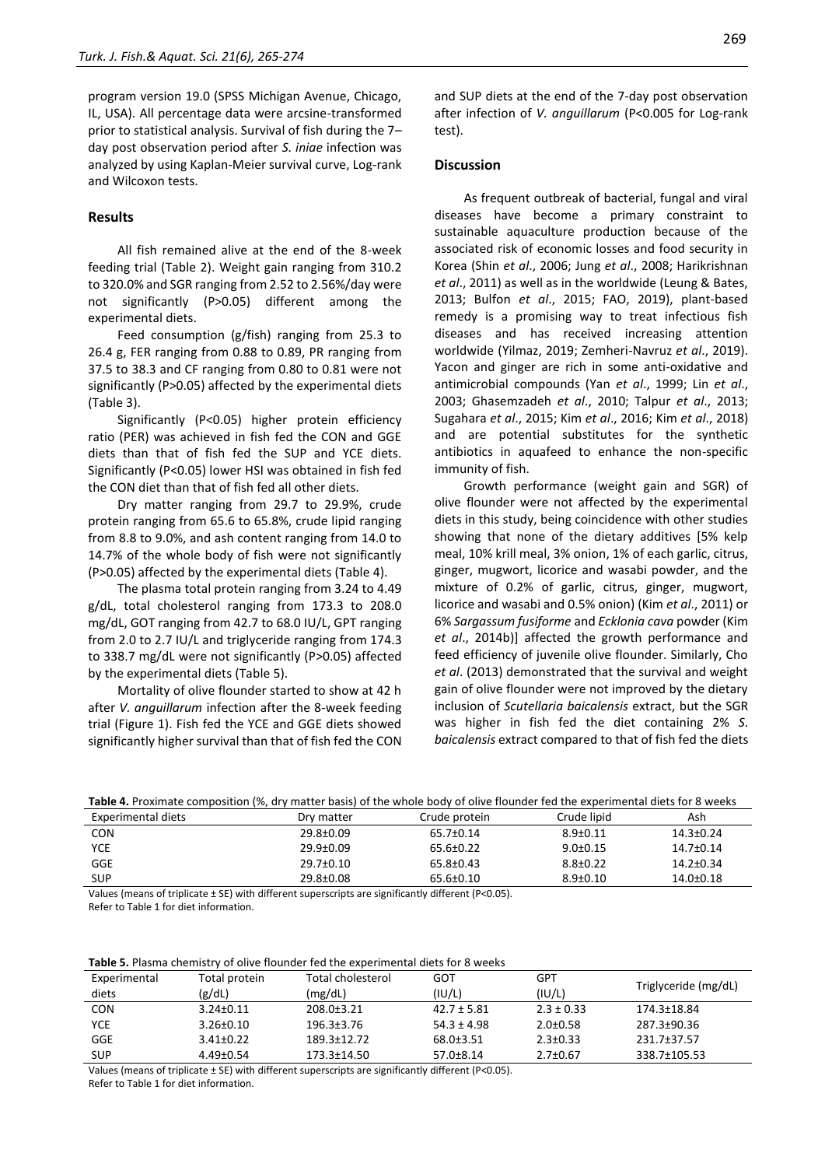program version 19.0 (SPSS Michigan Avenue, Chicago, IL, USA). All percentage data were arcsine-transformed prior to statistical analysis. Survival of fish during the 7– day post observation period after *S. iniae* infection was analyzed by using Kaplan-Meier survival curve, Log-rank and Wilcoxon tests.

# **Results**

All fish remained alive at the end of the 8-week feeding trial (Table 2). Weight gain ranging from 310.2 to 320.0% and SGR ranging from 2.52 to 2.56%/day were not significantly (P>0.05) different among the experimental diets.

Feed consumption (g/fish) ranging from 25.3 to 26.4 g, FER ranging from 0.88 to 0.89, PR ranging from 37.5 to 38.3 and CF ranging from 0.80 to 0.81 were not significantly (P>0.05) affected by the experimental diets (Table 3).

Significantly (P<0.05) higher protein efficiency ratio (PER) was achieved in fish fed the CON and GGE diets than that of fish fed the SUP and YCE diets. Significantly (P<0.05) lower HSI was obtained in fish fed the CON diet than that of fish fed all other diets.

Dry matter ranging from 29.7 to 29.9%, crude protein ranging from 65.6 to 65.8%, crude lipid ranging from 8.8 to 9.0%, and ash content ranging from 14.0 to 14.7% of the whole body of fish were not significantly (P>0.05) affected by the experimental diets (Table 4).

The plasma total protein ranging from 3.24 to 4.49 g/dL, total cholesterol ranging from 173.3 to 208.0 mg/dL, GOT ranging from 42.7 to 68.0 IU/L, GPT ranging from 2.0 to 2.7 IU/L and triglyceride ranging from 174.3 to 338.7 mg/dL were not significantly (P>0.05) affected by the experimental diets (Table 5).

Mortality of olive flounder started to show at 42 h after *V. anguillarum* infection after the 8-week feeding trial (Figure 1). Fish fed the YCE and GGE diets showed significantly higher survival than that of fish fed the CON and SUP diets at the end of the 7-day post observation after infection of *V. anguillarum* (P<0.005 for Log-rank test).

#### **Discussion**

As frequent outbreak of bacterial, fungal and viral diseases have become a primary constraint to sustainable aquaculture production because of the associated risk of economic losses and food security in Korea (Shin *et al*., 2006; Jung *et al*., 2008; Harikrishnan *et al*., 2011) as well as in the worldwide (Leung & Bates, 2013; Bulfon *et al*., 2015; FAO, 2019), plant-based remedy is a promising way to treat infectious fish diseases and has received increasing attention worldwide (Yilmaz, 2019; Zemheri-Navruz *et al*., 2019). Yacon and ginger are rich in some anti-oxidative and antimicrobial compounds (Yan *et al*., 1999; Lin *et al*., 2003; Ghasemzadeh *et al*., 2010; Talpur *et al*., 2013; Sugahara *et al*., 2015; Kim *et al*., 2016; Kim *et al*., 2018) and are potential substitutes for the synthetic antibiotics in aquafeed to enhance the non-specific immunity of fish.

Growth performance (weight gain and SGR) of olive flounder were not affected by the experimental diets in this study, being coincidence with other studies showing that none of the dietary additives [5% kelp meal, 10% krill meal, 3% onion, 1% of each garlic, citrus, ginger, mugwort, licorice and wasabi powder, and the mixture of 0.2% of garlic, citrus, ginger, mugwort, licorice and wasabi and 0.5% onion) (Kim *et al*., 2011) or 6% *Sargassum fusiforme* and *Ecklonia cava* powder (Kim *et al*., 2014b)] affected the growth performance and feed efficiency of juvenile olive flounder. Similarly, Cho *et al*. (2013) demonstrated that the survival and weight gain of olive flounder were not improved by the dietary inclusion of *Scutellaria baicalensis* extract, but the SGR was higher in fish fed the diet containing 2% *S*. *baicalensis* extract compared to that of fish fed the diets

| Table 4. Proximate composition (%, dry matter basis) of the whole body of olive flounder fed the experimental diets for 8 weeks |  |
|---------------------------------------------------------------------------------------------------------------------------------|--|
|---------------------------------------------------------------------------------------------------------------------------------|--|

| Experimental diets | Dry matter      | Crude protein   | Crude lipid    | Ash             |
|--------------------|-----------------|-----------------|----------------|-----------------|
| <b>CON</b>         | $29.8 \pm 0.09$ | 65.7±0.14       | $8.9 \pm 0.11$ | $14.3 \pm 0.24$ |
| <b>YCE</b>         | $29.9 \pm 0.09$ | 65.6±0.22       | $9.0 \pm 0.15$ | 14.7±0.14       |
| <b>GGE</b>         | $29.7 \pm 0.10$ | 65.8±0.43       | $8.8 \pm 0.22$ | $14.2 \pm 0.34$ |
| <b>SUP</b>         | 29.8±0.08       | $65.6 \pm 0.10$ | $8.9 \pm 0.10$ | $14.0 + 0.18$   |

Values (means of triplicate ± SE) with different superscripts are significantly different (P<0.05). Refer to Table 1 for diet information.

**Table 5.** Plasma chemistry of olive flounder fed the experimental diets for 8 weeks

| Experimental | Total protein   | Total cholesterol | GOT             | GPT            | Triglyceride (mg/dL) |
|--------------|-----------------|-------------------|-----------------|----------------|----------------------|
| diets        | (g/dL)          | (mg/dL)           | (IU/L)          | (IU/L)         |                      |
| <b>CON</b>   | $3.24 \pm 0.11$ | $208.0 \pm 3.21$  | $42.7 \pm 5.81$ | $2.3 \pm 0.33$ | 174.3±18.84          |
| <b>YCE</b>   | $3.26 \pm 0.10$ | $196.3 \pm 3.76$  | $54.3 \pm 4.98$ | $2.0 \pm 0.58$ | 287.3±90.36          |
| <b>GGE</b>   | $3.41 \pm 0.22$ | 189.3±12.72       | $68.0 \pm 3.51$ | $2.3 \pm 0.33$ | 231.7±37.57          |
| <b>SUP</b>   | $4.49 \pm 0.54$ | 173.3±14.50       | $57.0 \pm 8.14$ | $2.7 \pm 0.67$ | 338.7±105.53         |

Values (means of triplicate ± SE) with different superscripts are significantly different (P<0.05). Refer to Table 1 for diet information.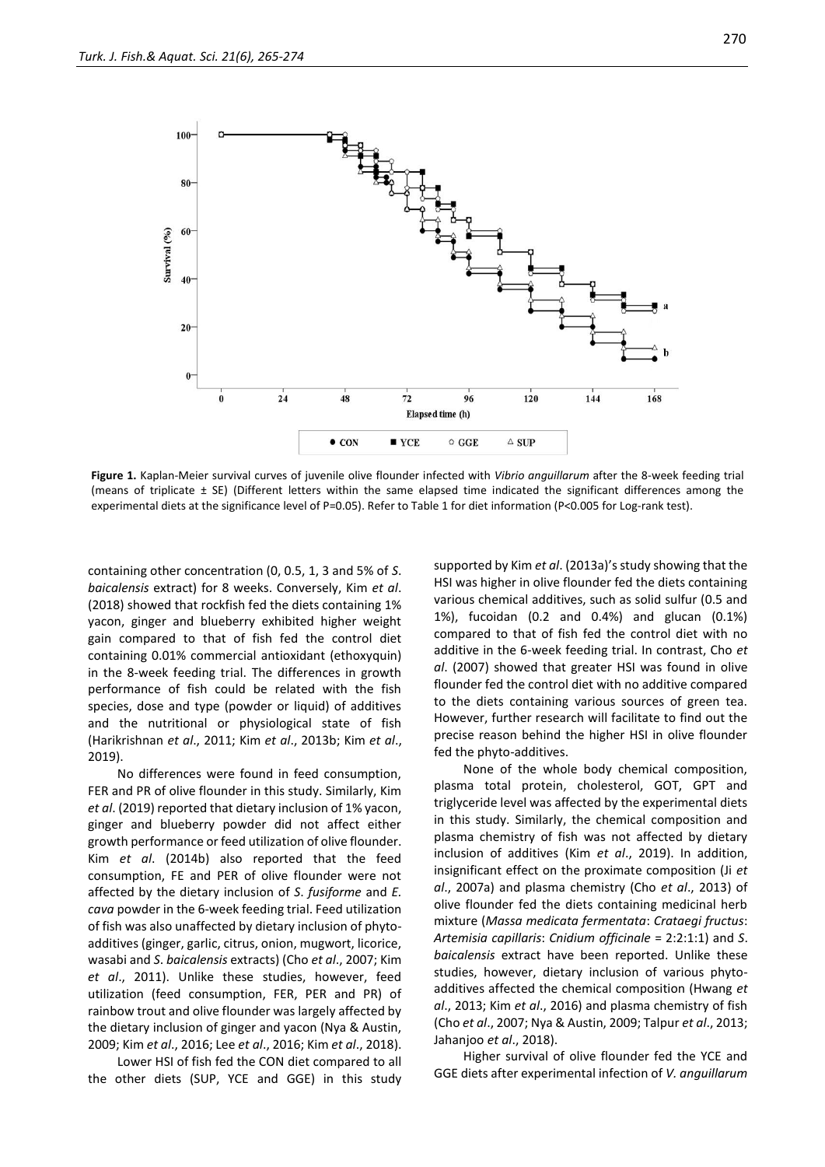

**Figure 1.** Kaplan-Meier survival curves of juvenile olive flounder infected with *Vibrio anguillarum* after the 8-week feeding trial (means of triplicate ± SE) (Different letters within the same elapsed time indicated the significant differences among the experimental diets at the significance level of P=0.05). Refer to Table 1 for diet information (P<0.005 for Log-rank test).

containing other concentration (0, 0.5, 1, 3 and 5% of *S*. *baicalensis* extract) for 8 weeks. Conversely, Kim *et al*. (2018) showed that rockfish fed the diets containing 1% yacon, ginger and blueberry exhibited higher weight gain compared to that of fish fed the control diet containing 0.01% commercial antioxidant (ethoxyquin) in the 8-week feeding trial. The differences in growth performance of fish could be related with the fish species, dose and type (powder or liquid) of additives and the nutritional or physiological state of fish (Harikrishnan *et al*., 2011; Kim *et al*., 2013b; Kim *et al*., 2019).

No differences were found in feed consumption, FER and PR of olive flounder in this study. Similarly, Kim *et al*. (2019) reported that dietary inclusion of 1% yacon, ginger and blueberry powder did not affect either growth performance or feed utilization of olive flounder. Kim *et al*. (2014b) also reported that the feed consumption, FE and PER of olive flounder were not affected by the dietary inclusion of *S*. *fusiforme* and *E. cava* powder in the 6-week feeding trial. Feed utilization of fish was also unaffected by dietary inclusion of phytoadditives (ginger, garlic, citrus, onion, mugwort, licorice, wasabi and *S*. *baicalensis* extracts) (Cho *et al*., 2007; Kim *et al*., 2011). Unlike these studies, however, feed utilization (feed consumption, FER, PER and PR) of rainbow trout and olive flounder was largely affected by the dietary inclusion of ginger and yacon (Nya & Austin, 2009; Kim *et al*., 2016; Lee *et al*., 2016; Kim *et al*., 2018).

Lower HSI of fish fed the CON diet compared to all the other diets (SUP, YCE and GGE) in this study

supported by Kim *et al*. (2013a)'s study showing that the HSI was higher in olive flounder fed the diets containing various chemical additives, such as solid sulfur (0.5 and 1%), fucoidan (0.2 and 0.4%) and glucan (0.1%) compared to that of fish fed the control diet with no additive in the 6-week feeding trial. In contrast, Cho *et al*. (2007) showed that greater HSI was found in olive flounder fed the control diet with no additive compared to the diets containing various sources of green tea. However, further research will facilitate to find out the precise reason behind the higher HSI in olive flounder fed the phyto-additives.

None of the whole body chemical composition, plasma total protein, cholesterol, GOT, GPT and triglyceride level was affected by the experimental diets in this study. Similarly, the chemical composition and plasma chemistry of fish was not affected by dietary inclusion of additives (Kim *et al*., 2019). In addition, insignificant effect on the proximate composition (Ji *et al*., 2007a) and plasma chemistry (Cho *et al*., 2013) of olive flounder fed the diets containing medicinal herb mixture (*Massa medicata fermentata*: *Crataegi fructus*: *Artemisia capillaris*: *Cnidium officinale* = 2:2:1:1) and *S*. *baicalensis* extract have been reported. Unlike these studies, however, dietary inclusion of various phytoadditives affected the chemical composition (Hwang *et al*., 2013; Kim *et al*., 2016) and plasma chemistry of fish (Cho *et al*., 2007; Nya & Austin, 2009; Talpur *et al*., 2013; Jahanjoo *et al*., 2018).

Higher survival of olive flounder fed the YCE and GGE diets after experimental infection of *V. anguillarum*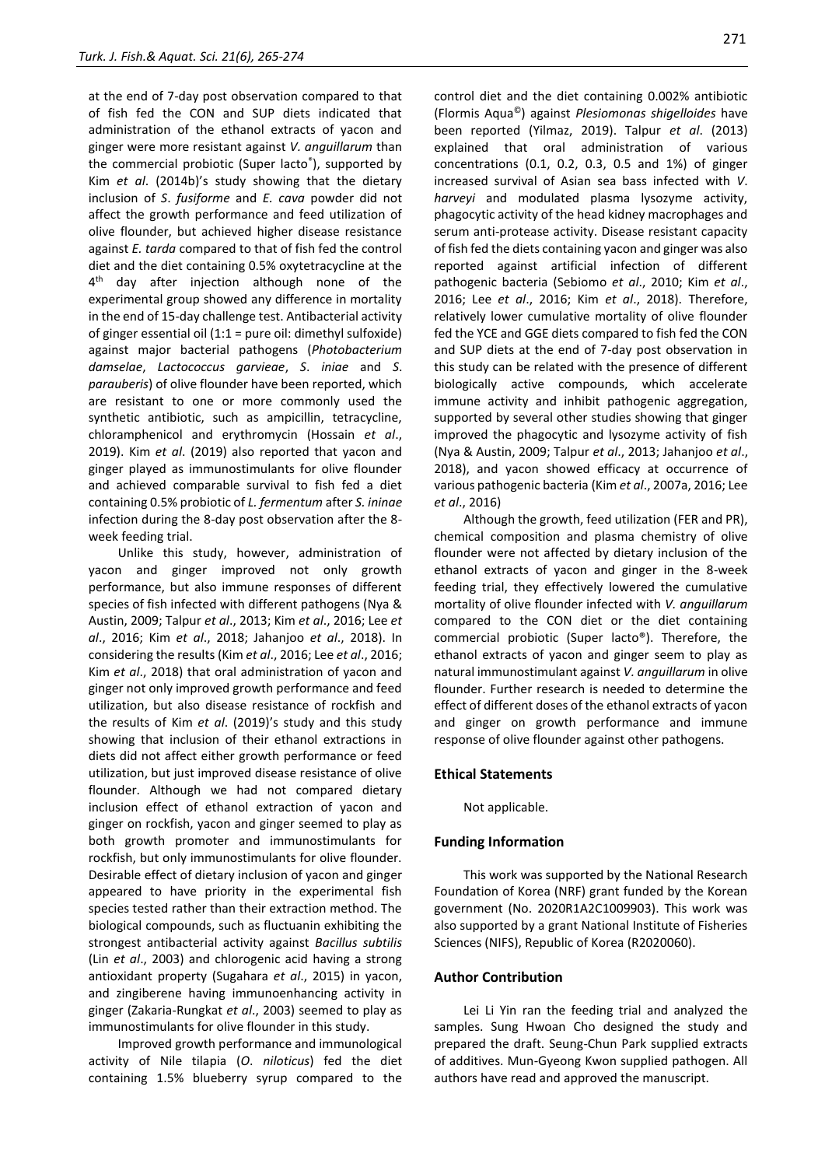at the end of 7-day post observation compared to that of fish fed the CON and SUP diets indicated that administration of the ethanol extracts of yacon and ginger were more resistant against *V. anguillarum* than the commercial probiotic (Super lacto® ), supported by Kim *et al*. (2014b)'s study showing that the dietary inclusion of *S*. *fusiforme* and *E. cava* powder did not affect the growth performance and feed utilization of olive flounder, but achieved higher disease resistance against *E. tarda* compared to that of fish fed the control diet and the diet containing 0.5% oxytetracycline at the 4<sup>th</sup> day after injection although none of the experimental group showed any difference in mortality in the end of 15-day challenge test. Antibacterial activity of ginger essential oil (1:1 = pure oil: dimethyl sulfoxide) against major bacterial pathogens (*Photobacterium damselae*, *Lactococcus garvieae*, *S*. *iniae* and *S*. *parauberis*) of olive flounder have been reported, which are resistant to one or more commonly used the synthetic antibiotic, such as ampicillin, tetracycline, chloramphenicol and erythromycin (Hossain *et al*., 2019). Kim *et al*. (2019) also reported that yacon and ginger played as immunostimulants for olive flounder and achieved comparable survival to fish fed a diet containing 0.5% probiotic of *L. fermentum* after *S. ininae* infection during the 8-day post observation after the 8 week feeding trial.

Unlike this study, however, administration of yacon and ginger improved not only growth performance, but also immune responses of different species of fish infected with different pathogens (Nya & Austin, 2009; Talpur *et al*., 2013; Kim *et al*., 2016; Lee *et al*., 2016; Kim *et al*., 2018; Jahanjoo *et al*., 2018). In considering the results (Kim *et al*., 2016; Lee *et al*., 2016; Kim *et al*., 2018) that oral administration of yacon and ginger not only improved growth performance and feed utilization, but also disease resistance of rockfish and the results of Kim *et al*. (2019)'s study and this study showing that inclusion of their ethanol extractions in diets did not affect either growth performance or feed utilization, but just improved disease resistance of olive flounder. Although we had not compared dietary inclusion effect of ethanol extraction of yacon and ginger on rockfish, yacon and ginger seemed to play as both growth promoter and immunostimulants for rockfish, but only immunostimulants for olive flounder. Desirable effect of dietary inclusion of yacon and ginger appeared to have priority in the experimental fish species tested rather than their extraction method. The biological compounds, such as fluctuanin exhibiting the strongest antibacterial activity against *Bacillus subtilis* (Lin *et al*., 2003) and chlorogenic acid having a strong antioxidant property (Sugahara *et al*., 2015) in yacon, and zingiberene having immunoenhancing activity in ginger (Zakaria-Rungkat *et al*., 2003) seemed to play as immunostimulants for olive flounder in this study.

Improved growth performance and immunological activity of Nile tilapia (*O*. *niloticus*) fed the diet containing 1.5% blueberry syrup compared to the

control diet and the diet containing 0.002% antibiotic (Flormis Aqua©) against *Plesiomonas shigelloides* have been reported (Yilmaz, 2019). Talpur *et al*. (2013) explained that oral administration of various concentrations (0.1, 0.2, 0.3, 0.5 and 1%) of ginger increased survival of Asian sea bass infected with *V*. *harveyi* and modulated plasma lysozyme activity, phagocytic activity of the head kidney macrophages and serum anti-protease activity. Disease resistant capacity of fish fed the diets containing yacon and ginger was also reported against artificial infection of different pathogenic bacteria (Sebiomo *et al*., 2010; Kim *et al*., 2016; Lee *et al*., 2016; Kim *et al*., 2018). Therefore, relatively lower cumulative mortality of olive flounder fed the YCE and GGE diets compared to fish fed the CON and SUP diets at the end of 7-day post observation in this study can be related with the presence of different biologically active compounds, which accelerate immune activity and inhibit pathogenic aggregation, supported by several other studies showing that ginger improved the phagocytic and lysozyme activity of fish (Nya & Austin, 2009; Talpur *et al*., 2013; Jahanjoo *et al*., 2018), and yacon showed efficacy at occurrence of various pathogenic bacteria (Kim *et al*., 2007a, 2016; Lee *et al*., 2016)

Although the growth, feed utilization (FER and PR), chemical composition and plasma chemistry of olive flounder were not affected by dietary inclusion of the ethanol extracts of yacon and ginger in the 8-week feeding trial, they effectively lowered the cumulative mortality of olive flounder infected with *V. anguillarum*  compared to the CON diet or the diet containing commercial probiotic (Super lacto®). Therefore, the ethanol extracts of yacon and ginger seem to play as natural immunostimulant against *V. anguillarum* in olive flounder. Further research is needed to determine the effect of different doses of the ethanol extracts of yacon and ginger on growth performance and immune response of olive flounder against other pathogens.

# **Ethical Statements**

Not applicable.

## **Funding Information**

This work was supported by the National Research Foundation of Korea (NRF) grant funded by the Korean government (No. 2020R1A2C1009903). This work was also supported by a grant National Institute of Fisheries Sciences (NIFS), Republic of Korea (R2020060).

# **Author Contribution**

Lei Li Yin ran the feeding trial and analyzed the samples. Sung Hwoan Cho designed the study and prepared the draft. Seung-Chun Park supplied extracts of additives. Mun-Gyeong Kwon supplied pathogen. All authors have read and approved the manuscript.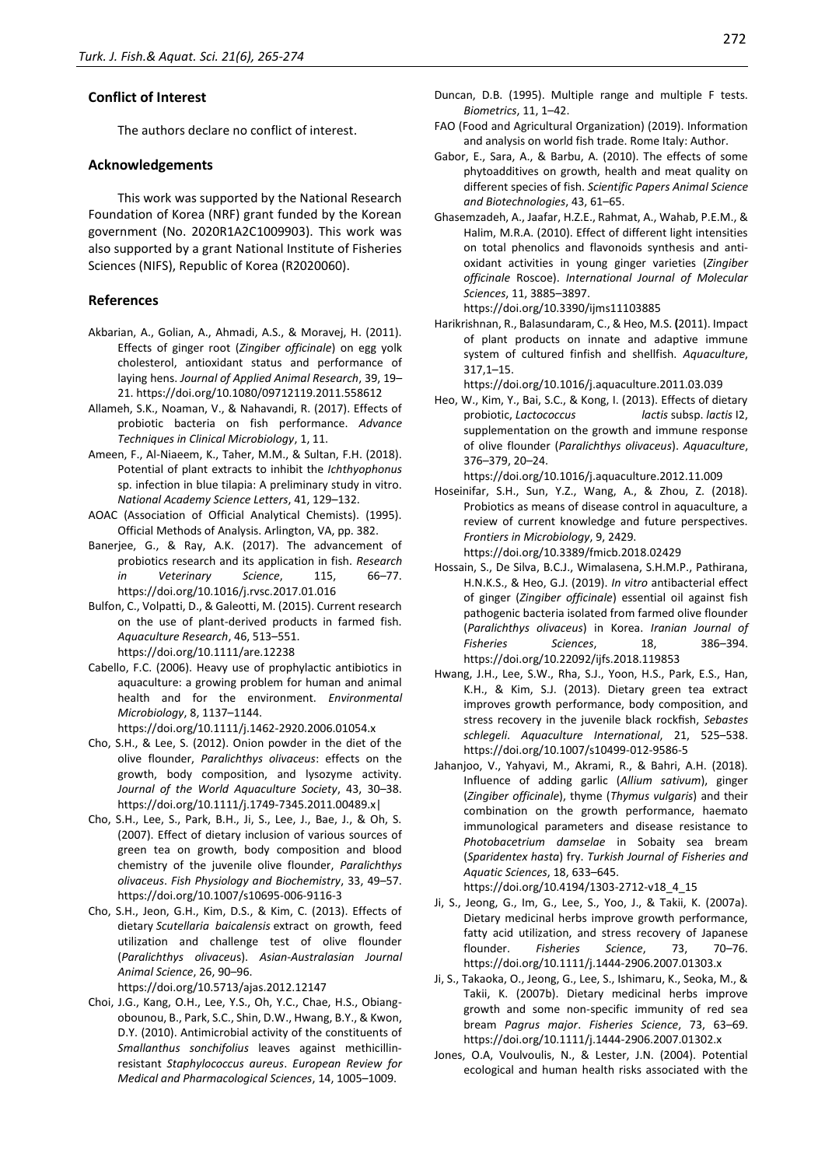# **Conflict of Interest**

The authors declare no conflict of interest.

#### **Acknowledgements**

This work was supported by the National Research Foundation of Korea (NRF) grant funded by the Korean government (No. 2020R1A2C1009903). This work was also supported by a grant National Institute of Fisheries Sciences (NIFS), Republic of Korea (R2020060).

# **References**

- Akbarian, A., Golian, A., Ahmadi, A.S., & Moravej, H. (2011). Effects of ginger root (*Zingiber officinale*) on egg yolk cholesterol, antioxidant status and performance of laying hens. *Journal of Applied Animal Research*, 39, 19– 21. https://doi.org/10.1080/09712119.2011.558612
- Allameh, S.K., Noaman, V., & Nahavandi, R. (2017). Effects of probiotic bacteria on fish performance. *Advance Techniques in Clinical Microbiology*, 1, 11.
- Ameen, F., Al-Niaeem, K., Taher, M.M., & Sultan, F.H. (2018). Potential of plant extracts to inhibit the *Ichthyophonus*  sp. infection in blue tilapia: A preliminary study in vitro. *National Academy Science Letters*, 41, 129–132.
- AOAC (Association of Official Analytical Chemists). (1995). Official Methods of Analysis. Arlington, VA, pp. 382.
- Banerjee, G., & Ray, A.K. (2017). The advancement of probiotics research and its application in fish. *Research in Veterinary Science*, 115, 66–77. https://doi.org/10.1016/j.rvsc.2017.01.016
- Bulfon, C., Volpatti, D., & Galeotti, M. (2015). Current research on the use of plant-derived products in farmed fish. *Aquaculture Research*, 46, 513–551. https://doi.org/10.1111/are.12238
- Cabello, F.C. (2006). Heavy use of prophylactic antibiotics in aquaculture: a growing problem for human and animal health and for the environment. *Environmental Microbiology*, 8, 1137–1144.
- https://doi.org/10.1111/j.1462-2920.2006.01054.x Cho, S.H., & Lee, S. (2012). Onion powder in the diet of the olive flounder, *Paralichthys olivaceus*: effects on the growth, body composition, and lysozyme activity.
- *Journal of the World Aquaculture Society*, 43, 30–38. https://doi.org/10.1111/j.1749-7345.2011.00489.x| Cho, S.H., Lee, S., Park, B.H., Ji, S., Lee, J., Bae, J., & Oh, S.
- (2007). Effect of dietary inclusion of various sources of green tea on growth, body composition and blood chemistry of the juvenile olive flounder, *Paralichthys olivaceus*. *Fish Physiology and Biochemistry*, 33, 49–57. https://doi.org/10.1007/s10695-006-9116-3
- Cho, S.H., Jeon, G.H., Kim, D.S., & Kim, C. (2013). Effects of dietary *Scutellaria baicalensis* extract on growth, feed utilization and challenge test of olive flounder (*Paralichthys olivaceu*s). *Asian-Australasian Journal Animal Science*, 26, 90–96.

https://doi.org/10.5713/ajas.2012.12147

Choi, J.G., Kang, O.H., Lee, Y.S., Oh, Y.C., Chae, H.S., Obiangobounou, B., Park, S.C., Shin, D.W., Hwang, B.Y., & Kwon, D.Y. (2010). Antimicrobial activity of the constituents of *Smallanthus sonchifolius* leaves against methicillinresistant *Staphylococcus aureus*. *European Review for Medical and Pharmacological Sciences*, 14, 1005–1009.

- Duncan, D.B. (1995). Multiple range and multiple F tests. *Biometrics*, 11, 1–42.
- FAO (Food and Agricultural Organization) (2019). Information and analysis on world fish trade. Rome Italy: Author.
- Gabor, E., Sara, A., & Barbu, A. (2010). The effects of some phytoadditives on growth, health and meat quality on different species of fish. *Scientific Papers Animal Science and Biotechnologies*, 43, 61–65.
- Ghasemzadeh, A., Jaafar, H.Z.E., Rahmat, A., Wahab, P.E.M., & Halim, M.R.A. (2010). Effect of different light intensities on total phenolics and flavonoids synthesis and antioxidant activities in young ginger varieties (*Zingiber officinale* Roscoe). *International Journal of Molecular Sciences*, 11, 3885–3897.

https://doi.org/10.3390/ijms11103885

Harikrishnan, R., Balasundaram, C., & Heo, M.S. **(**2011). Impact of plant products on innate and adaptive immune system of cultured finfish and shellfish. *Aquaculture*, 317,1–15.

https://doi.org/10.1016/j.aquaculture.2011.03.039

Heo, W., Kim, Y., Bai, S.C., & Kong, I. (2013). Effects of dietary probiotic, *Lactococcus lactis* subsp. *lactis* I2, supplementation on the growth and immune response of olive flounder (*Paralichthys olivaceus*). *Aquaculture*, 376–379, 20–24.

https://doi.org/10.1016/j.aquaculture.2012.11.009

Hoseinifar, S.H., Sun, Y.Z., Wang, A., & Zhou, Z. (2018). Probiotics as means of disease control in aquaculture, a review of current knowledge and future perspectives. *Frontiers in Microbiology*, 9, 2429.

https://doi.org/10.3389/fmicb.2018.02429

- Hossain, S., De Silva, B.C.J., Wimalasena, S.H.M.P., Pathirana, H.N.K.S., & Heo, G.J. (2019). *In vitro* antibacterial effect of ginger (*Zingiber officinale*) essential oil against fish pathogenic bacteria isolated from farmed olive flounder (*Paralichthys olivaceus*) in Korea. *Iranian Journal of Fisheries Sciences*, 18, 386–394. https://doi.org/10.22092/ijfs.2018.119853
- Hwang, J.H., Lee, S.W., Rha, S.J., Yoon, H.S., Park, E.S., Han, K.H., & Kim, S.J. (2013). Dietary green tea extract improves growth performance, body composition, and stress recovery in the juvenile black rockfish, *Sebastes schlegeli*. *Aquaculture International*, 21, 525–538. https://doi.org/10.1007/s10499-012-9586-5
- Jahanjoo, V., Yahyavi, M., Akrami, R., & Bahri, A.H. (2018). Influence of adding garlic (*Allium sativum*), ginger (*Zingiber officinale*), thyme (*Thymus vulgaris*) and their combination on the growth performance, haemato immunological parameters and disease resistance to *Photobacetrium damselae* in Sobaity sea bream (*Sparidentex hasta*) fry. *Turkish Journal of Fisheries and Aquatic Sciences*, 18, 633–645.

https://doi.org/10.4194/1303-2712-v18\_4\_15

- Ji, S., Jeong, G., Im, G., Lee, S., Yoo, J., & Takii, K. (2007a). Dietary medicinal herbs improve growth performance, fatty acid utilization, and stress recovery of Japanese flounder. *Fisheries Science*, 73, 70–76. https://doi.org/10.1111/j.1444-2906.2007.01303.x
- Ji, S., Takaoka, O., Jeong, G., Lee, S., Ishimaru, K., Seoka, M., & Takii, K. (2007b). Dietary medicinal herbs improve growth and some non-specific immunity of red sea bream *Pagrus major*. *Fisheries Science*, 73, 63–69. https://doi.org/10.1111/j.1444-2906.2007.01302.x
- Jones, O.A, Voulvoulis, N., & Lester, J.N. (2004). Potential ecological and human health risks associated with the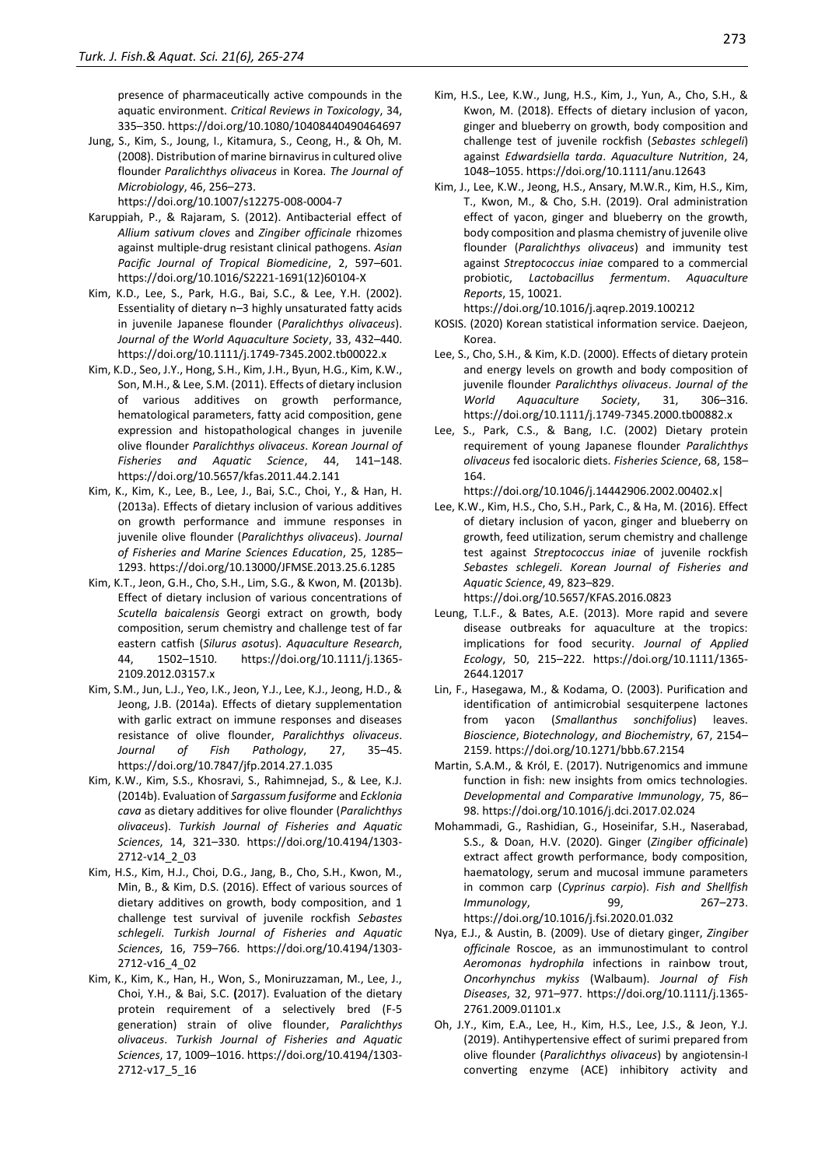presence of pharmaceutically active compounds in the aquatic environment. *Critical Reviews in Toxicology*, 34, 335–350. https://doi.org/10.1080/10408440490464697

- Jung, S., Kim, S., Joung, I., Kitamura, S., Ceong, H., & Oh, M. (2008). Distribution of marine birnavirus in cultured olive flounder *Paralichthys olivaceus* in Korea. *The Journal of Microbiology*, 46, 256–273. https://doi.org/10.1007/s12275-008-0004-7
- Karuppiah, P., & Rajaram, S. (2012). Antibacterial effect of *Allium sativum cloves* and *Zingiber officinale* rhizomes against multiple-drug resistant clinical pathogens. *Asian Pacific Journal of Tropical Biomedicine*, 2, 597–601. https://doi.org/10.1016/S2221-1691(12)60104-X
- Kim, K.D., Lee, S., Park, H.G., Bai, S.C., & Lee, Y.H. (2002). Essentiality of dietary n–3 highly unsaturated fatty acids in juvenile Japanese flounder (*Paralichthys olivaceus*). *Journal of the World Aquaculture Society*, 33, 432–440. https://doi.org/10.1111/j.1749-7345.2002.tb00022.x
- Kim, K.D., Seo, J.Y., Hong, S.H., Kim, J.H., Byun, H.G., Kim, K.W., Son, M.H., & Lee, S.M. (2011). Effects of dietary inclusion of various additives on growth performance, hematological parameters, fatty acid composition, gene expression and histopathological changes in juvenile olive flounder *Paralichthys olivaceus*. *Korean Journal of Fisheries and Aquatic Science*, 44, 141–148. https://doi.org/10.5657/kfas.2011.44.2.141
- Kim, K., Kim, K., Lee, B., Lee, J., Bai, S.C., Choi, Y., & Han, H. (2013a). Effects of dietary inclusion of various additives on growth performance and immune responses in juvenile olive flounder (*Paralichthys olivaceus*). *Journal of Fisheries and Marine Sciences Education*, 25, 1285– 1293. https://doi.org/10.13000/JFMSE.2013.25.6.1285
- Kim, K.T., Jeon, G.H., Cho, S.H., Lim, S.G., & Kwon, M. **(**2013b). Effect of dietary inclusion of various concentrations of *Scutella baicalensis* Georgi extract on growth, body composition, serum chemistry and challenge test of far eastern catfish (*Silurus asotus*). *Aquaculture Research*, 44, 1502–1510. https://doi.org/10.1111/j.1365- 2109.2012.03157.x
- Kim, S.M., Jun, L.J., Yeo, I.K., Jeon, Y.J., Lee, K.J., Jeong, H.D., & Jeong, J.B. (2014a). Effects of dietary supplementation with garlic extract on immune responses and diseases resistance of olive flounder, *Paralichthys olivaceus*. *Journal of Fish Pathology*, 27, 35–45. https://doi.org/10.7847/jfp.2014.27.1.035
- Kim, K.W., Kim, S.S., Khosravi, S., Rahimnejad, S., & Lee, K.J. (2014b). Evaluation of *Sargassum fusiforme* and *Ecklonia cava* as dietary additives for olive flounder (*Paralichthys olivaceus*). *Turkish Journal of Fisheries and Aquatic Sciences*, 14, 321–330. https://doi.org/10.4194/1303- 2712-v14\_2\_03
- Kim, H.S., Kim, H.J., Choi, D.G., Jang, B., Cho, S.H., Kwon, M., Min, B., & Kim, D.S. (2016). Effect of various sources of dietary additives on growth, body composition, and 1 challenge test survival of juvenile rockfish *Sebastes schlegeli*. *Turkish Journal of Fisheries and Aquatic Sciences*, 16, 759–766. https://doi.org/10.4194/1303- 2712-v16\_4\_02
- Kim, K., Kim, K., Han, H., Won, S., Moniruzzaman, M., Lee, J., Choi, Y.H., & Bai, S.C. **(**2017). Evaluation of the dietary protein requirement of a selectively bred (F-5 generation) strain of olive flounder, *Paralichthys olivaceus*. *Turkish Journal of Fisheries and Aquatic Sciences*, 17, 1009–1016. https://doi.org/10.4194/1303- 2712-v17\_5\_16
- Kim, H.S., Lee, K.W., Jung, H.S., Kim, J., Yun, A., Cho, S.H., & Kwon, M. (2018). Effects of dietary inclusion of yacon, ginger and blueberry on growth, body composition and challenge test of juvenile rockfish (*Sebastes schlegeli*) against *Edwardsiella tarda*. *Aquaculture Nutrition*, 24, 1048–1055. https://doi.org/10.1111/anu.12643
- Kim, J., Lee, K.W., Jeong, H.S., Ansary, M.W.R., Kim, H.S., Kim, T., Kwon, M., & Cho, S.H. (2019). Oral administration effect of yacon, ginger and blueberry on the growth, body composition and plasma chemistry of juvenile olive flounder (*Paralichthys olivaceus*) and immunity test against *Streptococcus iniae* compared to a commercial probiotic, *Lactobacillus fermentum*. *Aquaculture Reports*, 15, 10021.

https://doi.org/10.1016/j.aqrep.2019.100212

- KOSIS. (2020) Korean statistical information service. Daejeon, Korea.
- Lee, S., Cho, S.H., & Kim, K.D. (2000). Effects of dietary protein and energy levels on growth and body composition of juvenile flounder *Paralichthys olivaceus*. *Journal of the World Aquaculture Society*, 31, 306–316. https://doi.org/10.1111/j.1749-7345.2000.tb00882.x
- Lee, S., Park, C.S., & Bang, I.C. (2002) Dietary protein requirement of young Japanese flounder *Paralichthys olivaceus* fed isocaloric diets. *Fisheries Science*, 68, 158– 164.

https://doi.org/10.1046/j.14442906.2002.00402.x|

Lee, K.W., Kim, H.S., Cho, S.H., Park, C., & Ha, M. (2016). Effect of dietary inclusion of yacon, ginger and blueberry on growth, feed utilization, serum chemistry and challenge test against *Streptococcus iniae* of juvenile rockfish *Sebastes schlegeli*. *Korean Journal of Fisheries and Aquatic Science*, 49, 823–829.

https://doi.org/10.5657/KFAS.2016.0823

- Leung, T.L.F., & Bates, A.E. (2013). More rapid and severe disease outbreaks for aquaculture at the tropics: implications for food security. *Journal of Applied Ecology*, 50, 215–222. https://doi.org/10.1111/1365- 2644.12017
- Lin, F., Hasegawa, M., & Kodama, O. (2003). Purification and identification of antimicrobial sesquiterpene lactones from yacon (*Smallanthus sonchifolius*) leaves. *Bioscience*, *Biotechnology*, *and Biochemistry*, 67, 2154– 2159. https://doi.org/10.1271/bbb.67.2154
- Martin, S.A.M., & Król, E. (2017). Nutrigenomics and immune function in fish: new insights from omics technologies. *Developmental and Comparative Immunology*, 75, 86– 98. https://doi.org/10.1016/j.dci.2017.02.024
- Mohammadi, G., Rashidian, G., Hoseinifar, S.H., Naserabad, S.S., & Doan, H.V. (2020). Ginger (*Zingiber officinale*) extract affect growth performance, body composition, haematology, serum and mucosal immune parameters in common carp (*Cyprinus carpio*). *Fish and Shellfish Immunology*, 99, 267–273. https://doi.org/10.1016/j.fsi.2020.01.032
- Nya, E.J., & Austin, B. (2009). Use of dietary ginger, *Zingiber officinale* Roscoe, as an immunostimulant to control *Aeromonas hydrophila* infections in rainbow trout, *Oncorhynchus mykiss* (Walbaum). *Journal of Fish Diseases*, 32, 971–977. https://doi.org/10.1111/j.1365- 2761.2009.01101.x
- Oh, J.Y., Kim, E.A., Lee, H., Kim, H.S., Lee, J.S., & Jeon, Y.J. (2019). Antihypertensive effect of surimi prepared from olive flounder (*Paralichthys olivaceus*) by angiotensin-I converting enzyme (ACE) inhibitory activity and